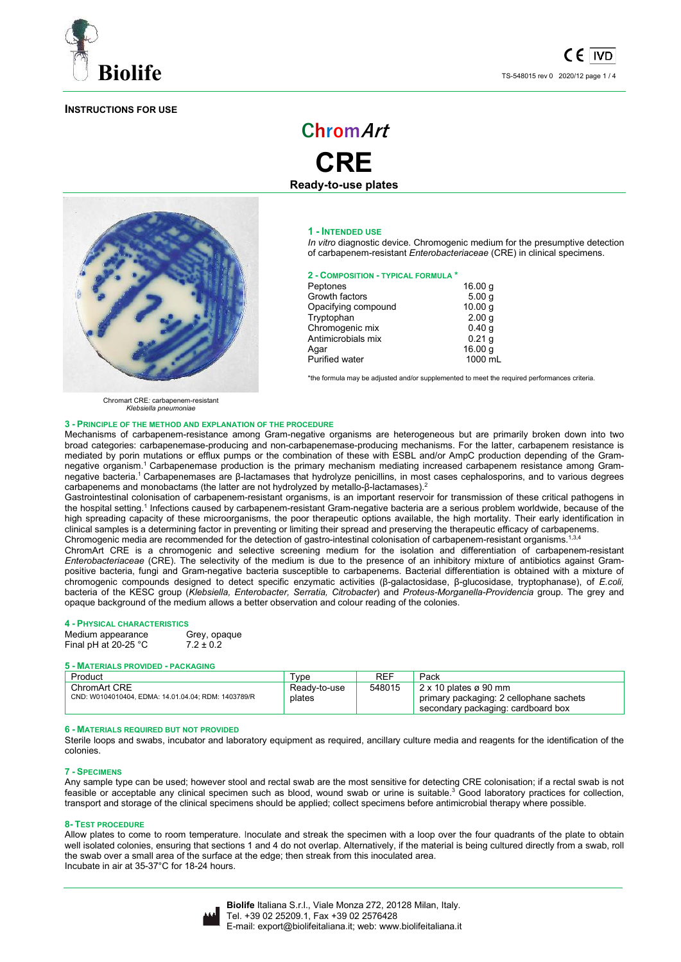

# **INSTRUCTIONS FOR USE**



**CRE Ready-to-use plates** 

**ChromArt**

#### **1 - INTENDED USE**

*In vitro* diagnostic device. Chromogenic medium for the presumptive detection of carbapenem-resistant *Enterobacteriaceae* (CRE) in clinical specimens.

# **2 - COMPOSITION - TYPICAL FORMULA \***

| Peptones              | 16.00 g            |
|-----------------------|--------------------|
| Growth factors        | 5.00q              |
| Opacifying compound   | 10.00 <sub>q</sub> |
| Tryptophan            | 2.00 <sub>q</sub>  |
| Chromogenic mix       | 0.40q              |
| Antimicrobials mix    | 0.21q              |
| Aqar                  | 16.00 g            |
| <b>Purified water</b> | 1000 mL            |
|                       |                    |

\*the formula may be adjusted and/or supplemented to meet the required performances criteria.

Chromart CRE*:* carbapenem-resistant *Klebsiella pneumoniae* 

#### **3 - PRINCIPLE OF THE METHOD AND EXPLANATION OF THE PROCEDURE**

Mechanisms of carbapenem-resistance among Gram-negative organisms are heterogeneous but are primarily broken down into two broad categories: carbapenemase-producing and non-carbapenemase-producing mechanisms. For the latter, carbapenem resistance is mediated by porin mutations or efflux pumps or the combination of these with ESBL and/or AmpC production depending of the Gramnegative organism.<sup>1</sup> Carbapenemase production is the primary mechanism mediating increased carbapenem resistance among Gramnegative bacteria.<sup>1</sup>Carbapenemases are β-lactamases that hydrolyze penicillins, in most cases cephalosporins, and to various degrees carbapenems and monobactams (the latter are not hydrolyzed by metallo-β-lactamases).<sup>2</sup>

Gastrointestinal colonisation of carbapenem-resistant organisms, is an important reservoir for transmission of these critical pathogens in the hospital setting.<sup>1</sup> Infections caused by carbapenem-resistant Gram-negative bacteria are a serious problem worldwide, because of the high spreading capacity of these microorganisms, the poor therapeutic options available, the high mortality. Their early identification in clinical samples is a determining factor in preventing or limiting their spread and preserving the therapeutic efficacy of carbapenems. Chromogenic media are recommended for the detection of gastro-intestinal colonisation of carbapenem-resistant organisms.<sup>1,3,4</sup>

ChromArt CRE is a chromogenic and selective screening medium for the isolation and differentiation of carbapenem-resistant *Enterobacteriaceae* (CRE). The selectivity of the medium is due to the presence of an inhibitory mixture of antibiotics against Grampositive bacteria, fungi and Gram-negative bacteria susceptible to carbapenems. Bacterial differentiation is obtained with a mixture of chromogenic compounds designed to detect specific enzymatic activities (β-galactosidase, β-glucosidase, tryptophanase), of *E.coli,*  bacteria of the KESC group (*Klebsiella, Enterobacter, Serratia, Citrobacter*) and *Proteus-Morganella-Providencia* group. The grey and opaque background of the medium allows a better observation and colour reading of the colonies.

**4 - PHYSICAL CHARACTERISTICS** Medium appearance Grey, opa<br>Final pH at 20-25 °C 7.2 ± 0.2 Final pH at  $20-25$   $^{\circ}$ C

#### **5 - MATERIALS PROVIDED - PACKAGING**

| Product                                                             | $\mathsf{Type}$        | REF    | Pack                                                                                                          |
|---------------------------------------------------------------------|------------------------|--------|---------------------------------------------------------------------------------------------------------------|
| ChromArt CRE<br>CND: W0104010404, EDMA: 14.01.04.04; RDM: 1403789/R | Ready-to-use<br>plates | 548015 | $2 \times 10$ plates ø 90 mm<br>primary packaging: 2 cellophane sachets<br>secondary packaging: cardboard box |

# **6 - MATERIALS REQUIRED BUT NOT PROVIDED**

Sterile loops and swabs, incubator and laboratory equipment as required, ancillary culture media and reagents for the identification of the colonies.

# **7 - SPECIMENS**

Any sample type can be used; however stool and rectal swab are the most sensitive for detecting CRE colonisation; if a rectal swab is not feasible or acceptable any clinical specimen such as blood, wound swab or urine is suitable.<sup>3</sup> Good laboratory practices for collection, transport and storage of the clinical specimens should be applied; collect specimens before antimicrobial therapy where possible.

### **8- TEST PROCEDURE**

Allow plates to come to room temperature. Inoculate and streak the specimen with a loop over the four quadrants of the plate to obtain well isolated colonies, ensuring that sections 1 and 4 do not overlap. Alternatively, if the material is being cultured directly from a swab, roll the swab over a small area of the surface at the edge; then streak from this inoculated area. Incubate in air at 35-37°C for 18-24 hours.

|--|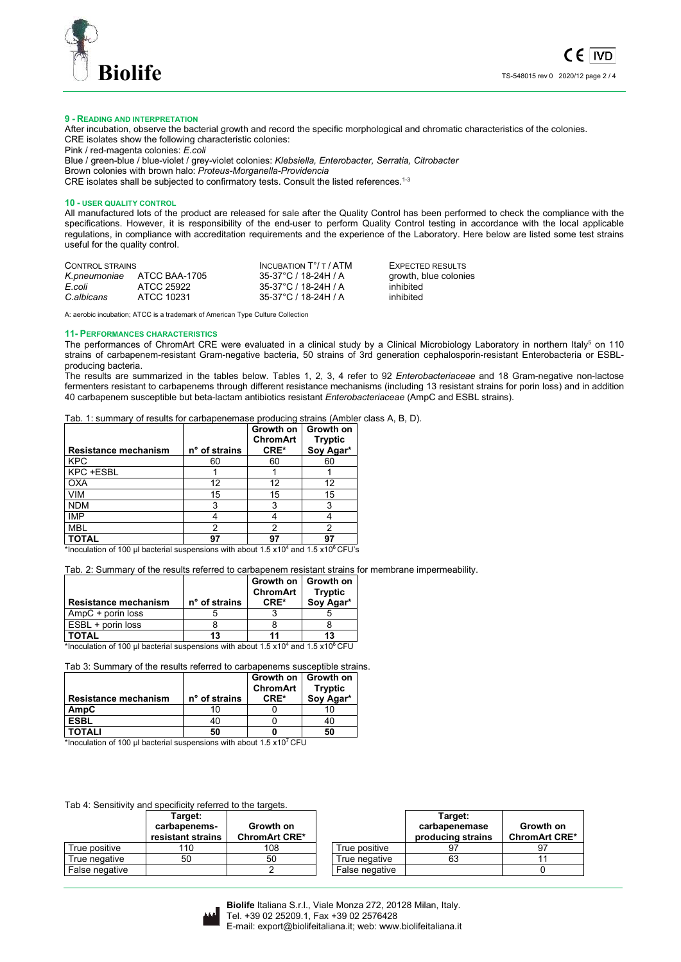

#### **9 - READING AND INTERPRETATION**

After incubation, observe the bacterial growth and record the specific morphological and chromatic characteristics of the colonies. CRE isolates show the following characteristic colonies:

Pink / red-magenta colonies: *E.coli* Blue / green-blue / blue-violet / grey-violet colonies: *Klebsiella, Enterobacter, Serratia, Citrobacter* Brown colonies with brown halo: *Proteus-Morganella-Providencia* CRE isolates shall be subjected to confirmatory tests. Consult the listed references.<sup>1-3</sup>

#### **10 - USER QUALITY CONTROL**

All manufactured lots of the product are released for sale after the Quality Control has been performed to check the compliance with the specifications. However, it is responsibility of the end-user to perform Quality Control testing in accordance with the local applicable regulations, in compliance with accreditation requirements and the experience of the Laboratory. Here below are listed some test strains useful for the quality control.

| CONTROL STRAINS |               | INCUBATION $T^{\circ}/T$ / ATM | EXPECTED RESULTS      |
|-----------------|---------------|--------------------------------|-----------------------|
| K.pneumoniae    | ATCC BAA-1705 | 35-37°C / 18-24H / A           | growth, blue colonies |
| E.coli          | ATCC 25922    | 35-37°C / 18-24H / A           | inhibited             |
| C.albicans      | ATCC 10231    | 35-37°C / 18-24H / A           | inhibited             |

A: aerobic incubation; ATCC is a trademark of American Type Culture Collection

#### **11- PERFORMANCES CHARACTERISTICS**

The performances of ChromArt CRE were evaluated in a clinical study by a Clinical Microbiology Laboratory in northern Italy<sup>5</sup> on 110 strains of carbapenem-resistant Gram-negative bacteria, 50 strains of 3rd generation cephalosporin-resistant Enterobacteria or ESBLproducing bacteria.

The results are summarized in the tables below. Tables 1, 2, 3, 4 refer to 92 *Enterobacteriaceae* and 18 Gram-negative non-lactose fermenters resistant to carbapenems through different resistance mechanisms (including 13 resistant strains for porin loss) and in addition 40 carbapenem susceptible but beta-lactam antibiotics resistant *Enterobacteriaceae* (AmpC and ESBL strains).

Tab. 1: summary of results for carbapenemase producing strains (Ambler class A, B, D).

|                                                                                                                                               |               | Growth on<br><b>ChromArt</b> | Growth on<br><b>Tryptic</b> |
|-----------------------------------------------------------------------------------------------------------------------------------------------|---------------|------------------------------|-----------------------------|
| Resistance mechanism                                                                                                                          | n° of strains | CRE*                         | Soy Agar*                   |
| <b>KPC</b>                                                                                                                                    | 60            | 60                           | 60                          |
| KPC +ESBL                                                                                                                                     |               |                              |                             |
| <b>OXA</b>                                                                                                                                    | 12            | 12                           | 12                          |
| <b>VIM</b>                                                                                                                                    | 15            | 15                           | 15                          |
| <b>NDM</b>                                                                                                                                    | 3             |                              |                             |
| <b>IMP</b>                                                                                                                                    |               |                              |                             |
| <b>MBL</b>                                                                                                                                    | ົ             |                              |                             |
| <b>TOTAL</b><br>$*$ the contraction of 400 of the strute to construct contract of $\epsilon$ of $M = 0.404$ contract $\epsilon$ of 08 OFH the | 97            | 97                           | 97                          |

\*Inoculation of 100 µl bacterial suspensions with about 1.5 x10<sup>4</sup> and 1.5 x10<sup>6</sup> CFU's

Tab. 2: Summary of the results referred to carbapenem resistant strains for membrane impermeability.

|                                                                                                           |               | Growth on   Growth on<br>ChromArt | <b>Tryptic</b> |  |  |  |
|-----------------------------------------------------------------------------------------------------------|---------------|-----------------------------------|----------------|--|--|--|
| <b>Resistance mechanism</b>                                                                               | n° of strains | CRE*                              | Soy Agar*      |  |  |  |
| AmpC + porin loss                                                                                         |               |                                   |                |  |  |  |
| ESBL + porin loss                                                                                         |               |                                   |                |  |  |  |
| <b>TOTAL</b>                                                                                              | 13            |                                   | 13             |  |  |  |
| *Inoculation of 100 µl bacterial suspensions with about 1.5 x10 <sup>4</sup> and 1.5 x10 <sup>6</sup> CFU |               |                                   |                |  |  |  |

Tab 3: Summary of the results referred to carbapenems susceptible strains.

| <b>Resistance mechanism</b> | n° of strains | Growth on   Growth on<br><b>ChromArt</b><br>CRE* | <b>Tryptic</b><br>Sov Agar* |
|-----------------------------|---------------|--------------------------------------------------|-----------------------------|
| AmpC                        |               |                                                  |                             |
| ESBL                        | 40            |                                                  |                             |
| <b>TOTALI</b>               | 50            |                                                  | 50                          |

\*Inoculation of 100  $\mu$ I bacterial suspensions with about 1.5 x10<sup>7</sup> CFU

# Tab 4: Sensitivity and specificity referred to the targets.

|                | Target:<br>carbapenems-<br>resistant strains | Growth on<br><b>ChromArt CRE*</b> |                | Target:<br>carbapenemase<br>producing strains | Growth on<br><b>ChromArt CRE*</b> |
|----------------|----------------------------------------------|-----------------------------------|----------------|-----------------------------------------------|-----------------------------------|
| True positive  | 110                                          | 108                               | True positive  |                                               | 97                                |
| True negative  | 50                                           | 50                                | True negative  | 63                                            |                                   |
| False negative |                                              |                                   | False negative |                                               |                                   |

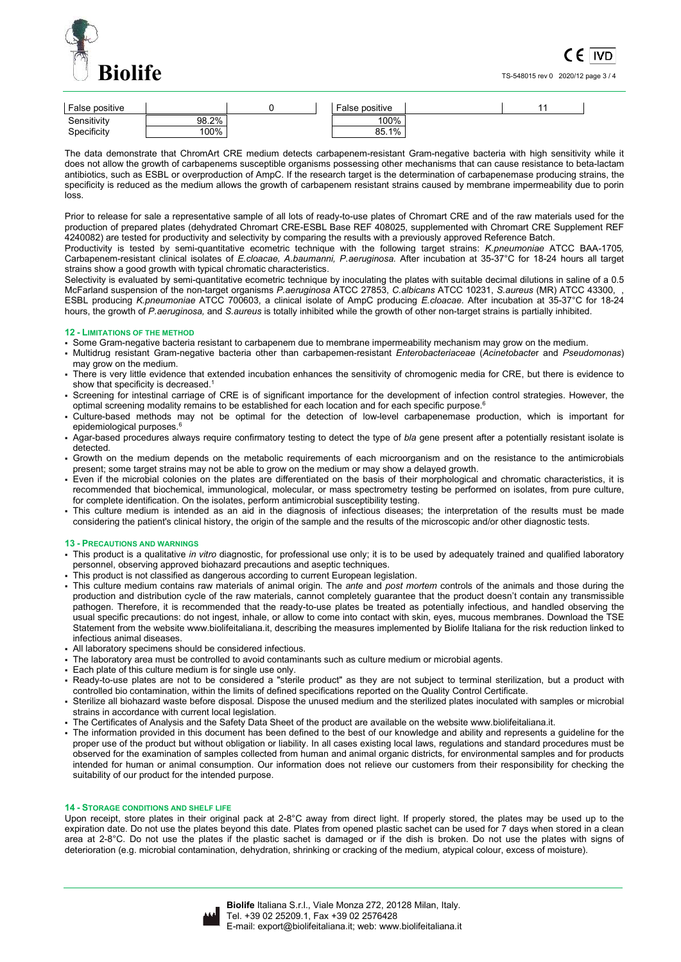

TS-548015 rev 0 2020/12 page 3 / 4

| False positive |       | False positive |  |  |
|----------------|-------|----------------|--|--|
| Sensitivity    | 98.2% | 100%           |  |  |
| Specificity    | 100%  | 85.1%          |  |  |

The data demonstrate that ChromArt CRE medium detects carbapenem-resistant Gram-negative bacteria with high sensitivity while it does not allow the growth of carbapenems susceptible organisms possessing other mechanisms that can cause resistance to beta-lactam antibiotics, such as ESBL or overproduction of AmpC. If the research target is the determination of carbapenemase producing strains, the specificity is reduced as the medium allows the growth of carbapenem resistant strains caused by membrane impermeability due to porin loss.

Prior to release for sale a representative sample of all lots of ready-to-use plates of Chromart CRE and of the raw materials used for the production of prepared plates (dehydrated Chromart CRE-ESBL Base REF 408025, supplemented with Chromart CRE Supplement REF 4240082) are tested for productivity and selectivity by comparing the results with a previously approved Reference Batch.

Productivity is tested by semi-quantitative ecometric technique with the following target strains: *K.pneumoniae* ATCC BAA-1705*,*  Carbapenem-resistant clinical isolates of *E.cloacae, A.baumanni, P.aeruginosa.* After incubation at 35-37°C for 18-24 hours all target strains show a good growth with typical chromatic characteristics.

Selectivity is evaluated by semi-quantitative ecometric technique by inoculating the plates with suitable decimal dilutions in saline of a 0.5 McFarland suspension of the non-target organisms *P.aeruginosa* ATCC 27853, *C.albicans* ATCC 10231, *S.aureus* (MR) ATCC 43300, , ESBL producing *K.pneumoniae* ATCC 700603, a clinical isolate of AmpC producing *E.cloacae*. After incubation at 35-37°C for 18-24 hours, the growth of *P.aeruginosa,* and *S.aureus* is totally inhibited while the growth of other non-target strains is partially inhibited.

# **12 - LIMITATIONS OF THE METHOD**

- Some Gram-negative bacteria resistant to carbapenem due to membrane impermeability mechanism may grow on the medium.
- Multidrug resistant Gram-negative bacteria other than carbapemen-resistant *Enterobacteriaceae* (*Acinetobacte*r and *Pseudomonas*) may grow on the medium.
- There is very little evidence that extended incubation enhances the sensitivity of chromogenic media for CRE, but there is evidence to show that specificity is decreased.
- Screening for intestinal carriage of CRE is of significant importance for the development of infection control strategies. However, the optimal screening modality remains to be established for each location and for each specific purpose.<sup>6</sup>
- Culture-based methods may not be optimal for the detection of low-level carbapenemase production, which is important for epidemiological purposes.<sup>6</sup>
- Agar-based procedures always require confirmatory testing to detect the type of *bla* gene present after a potentially resistant isolate is detected.
- Growth on the medium depends on the metabolic requirements of each microorganism and on the resistance to the antimicrobials present; some target strains may not be able to grow on the medium or may show a delayed growth.
- Even if the microbial colonies on the plates are differentiated on the basis of their morphological and chromatic characteristics, it is recommended that biochemical, immunological, molecular, or mass spectrometry testing be performed on isolates, from pure culture, for complete identification. On the isolates, perform antimicrobial susceptibility testing.
- . This culture medium is intended as an aid in the diagnosis of infectious diseases; the interpretation of the results must be made considering the patient's clinical history, the origin of the sample and the results of the microscopic and/or other diagnostic tests.

# **13 - PRECAUTIONS AND WARNINGS**

- This product is a qualitative *in vitro* diagnostic, for professional use only; it is to be used by adequately trained and qualified laboratory personnel, observing approved biohazard precautions and aseptic techniques.
- This product is not classified as dangerous according to current European legislation.
- This culture medium contains raw materials of animal origin. The *ante* and *post mortem* controls of the animals and those during the production and distribution cycle of the raw materials, cannot completely guarantee that the product doesn't contain any transmissible pathogen. Therefore, it is recommended that the ready-to-use plates be treated as potentially infectious, and handled observing the usual specific precautions: do not ingest, inhale, or allow to come into contact with skin, eyes, mucous membranes. Download the TSE Statement from the website www.biolifeitaliana.it, describing the measures implemented by Biolife Italiana for the risk reduction linked to infectious animal diseases.
- All laboratory specimens should be considered infectious.
- The laboratory area must be controlled to avoid contaminants such as culture medium or microbial agents.
- Each plate of this culture medium is for single use only.
- Ready-to-use plates are not to be considered a "sterile product" as they are not subject to terminal sterilization, but a product with controlled bio contamination, within the limits of defined specifications reported on the Quality Control Certificate.
- Sterilize all biohazard waste before disposal. Dispose the unused medium and the sterilized plates inoculated with samples or microbial strains in accordance with current local legislation.
- The Certificates of Analysis and the Safety Data Sheet of the product are available on the website www.biolifeitaliana.it.
- The information provided in this document has been defined to the best of our knowledge and ability and represents a guideline for the proper use of the product but without obligation or liability. In all cases existing local laws, regulations and standard procedures must be observed for the examination of samples collected from human and animal organic districts, for environmental samples and for products intended for human or animal consumption. Our information does not relieve our customers from their responsibility for checking the suitability of our product for the intended purpose.

#### **14 - STORAGE CONDITIONS AND SHELF LIFE**

Upon receipt, store plates in their original pack at 2-8°C away from direct light. If properly stored, the plates may be used up to the expiration date. Do not use the plates beyond this date. Plates from opened plastic sachet can be used for 7 days when stored in a clean area at 2-8°C. Do not use the plates if the plastic sachet is damaged or if the dish is broken. Do not use the plates with signs of deterioration (e.g. microbial contamination, dehydration, shrinking or cracking of the medium, atypical colour, excess of moisture).